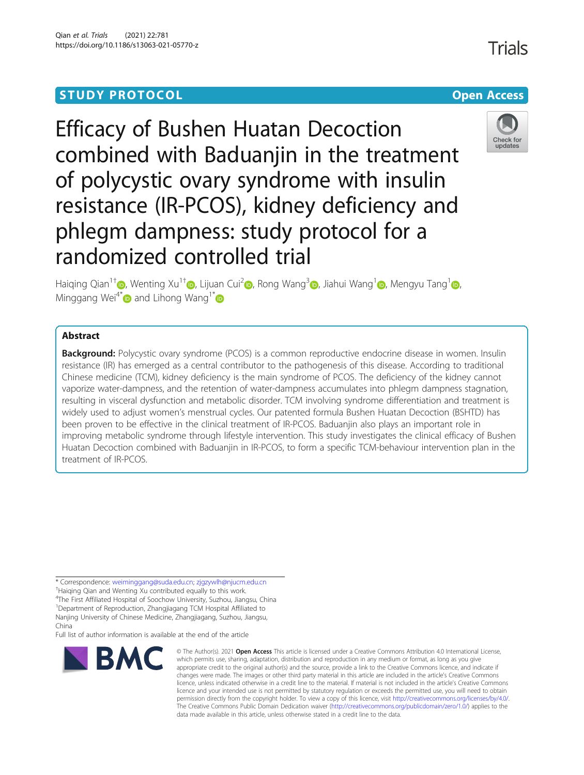# **STUDY PROTOCOL CONSUMING THE CONSUMING OPEN ACCESS**

# Efficacy of Bushen Huatan Decoction combined with Baduanjin in the treatment of polycystic ovary syndrome with insulin resistance (IR-PCOS), kidney deficiency and phlegm dampness: study protocol for a randomized controlled trial

Haiging Qian<sup>1[†](https://orcid.org/0000-0001-9222-1473)</sup> [,](https://orcid.org/0000-0002-3216-8292) Wenting Xu<sup>[1](https://orcid.org/0000-0002-9810-7142)†</sup> , Lijuan Cui<sup>2</sup> , Rong Wang<sup>3</sup> , Jiahui Wang<sup>1</sup> , Mengyu Tang<sup>1</sup> , Minggang Wei<sup>4[\\*](https://orcid.org/0000-0002-1714-6650)</sup> $\bullet$  and Lihong Wang<sup>1\*</sup> $\bullet$ 

# Abstract

**Background:** Polycystic ovary syndrome (PCOS) is a common reproductive endocrine disease in women. Insulin resistance (IR) has emerged as a central contributor to the pathogenesis of this disease. According to traditional Chinese medicine (TCM), kidney deficiency is the main syndrome of PCOS. The deficiency of the kidney cannot vaporize water-dampness, and the retention of water-dampness accumulates into phlegm dampness stagnation, resulting in visceral dysfunction and metabolic disorder. TCM involving syndrome differentiation and treatment is widely used to adjust women's menstrual cycles. Our patented formula Bushen Huatan Decoction (BSHTD) has been proven to be effective in the clinical treatment of IR-PCOS. Baduanjin also plays an important role in improving metabolic syndrome through lifestyle intervention. This study investigates the clinical efficacy of Bushen Huatan Decoction combined with Baduanjin in IR-PCOS, to form a specific TCM-behaviour intervention plan in the treatment of IR-PCOS.

\* Correspondence: [weiminggang@suda.edu.cn](mailto:weiminggang@suda.edu.cn); [zjgzywlh@njucm.edu.cn](mailto:zjgzywlh@njucm.edu.cn) †

<sup>+</sup>Haiqing Qian and Wenting Xu contributed equally to this work.

4 The First Affiliated Hospital of Soochow University, Suzhou, Jiangsu, China

<sup>1</sup>Department of Reproduction, Zhangjiagang TCM Hospital Affiliated to Nanjing University of Chinese Medicine, Zhangjiagang, Suzhou, Jiangsu,

Full list of author information is available at the end of the article



<sup>©</sup> The Author(s), 2021 **Open Access** This article is licensed under a Creative Commons Attribution 4.0 International License, which permits use, sharing, adaptation, distribution and reproduction in any medium or format, as long as you give appropriate credit to the original author(s) and the source, provide a link to the Creative Commons licence, and indicate if changes were made. The images or other third party material in this article are included in the article's Creative Commons licence, unless indicated otherwise in a credit line to the material. If material is not included in the article's Creative Commons licence and your intended use is not permitted by statutory regulation or exceeds the permitted use, you will need to obtain permission directly from the copyright holder. To view a copy of this licence, visit [http://creativecommons.org/licenses/by/4.0/.](http://creativecommons.org/licenses/by/4.0/) The Creative Commons Public Domain Dedication waiver [\(http://creativecommons.org/publicdomain/zero/1.0/](http://creativecommons.org/publicdomain/zero/1.0/)) applies to the data made available in this article, unless otherwise stated in a credit line to the data.





Check for updates

China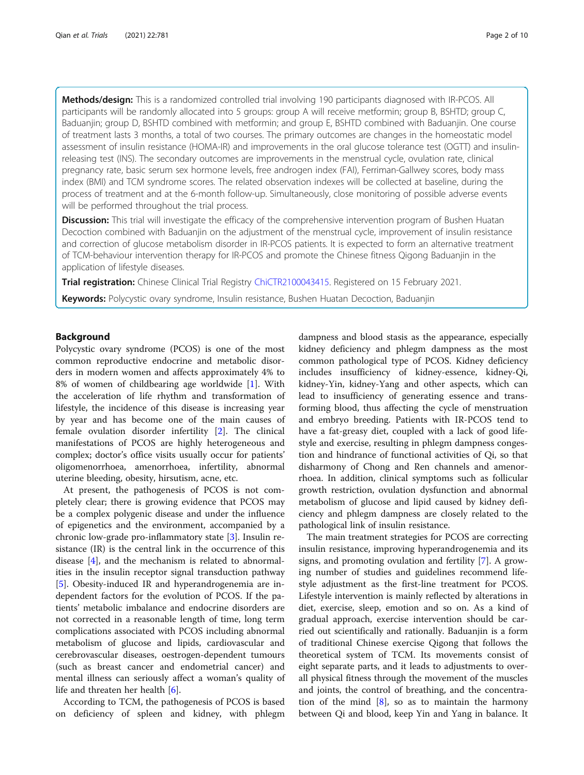Methods/design: This is a randomized controlled trial involving 190 participants diagnosed with IR-PCOS. All participants will be randomly allocated into 5 groups: group A will receive metformin; group B, BSHTD; group C, Baduanjin; group D, BSHTD combined with metformin; and group E, BSHTD combined with Baduanjin. One course of treatment lasts 3 months, a total of two courses. The primary outcomes are changes in the homeostatic model assessment of insulin resistance (HOMA-IR) and improvements in the oral glucose tolerance test (OGTT) and insulinreleasing test (INS). The secondary outcomes are improvements in the menstrual cycle, ovulation rate, clinical pregnancy rate, basic serum sex hormone levels, free androgen index (FAI), Ferriman-Gallwey scores, body mass index (BMI) and TCM syndrome scores. The related observation indexes will be collected at baseline, during the process of treatment and at the 6-month follow-up. Simultaneously, close monitoring of possible adverse events will be performed throughout the trial process.

Discussion: This trial will investigate the efficacy of the comprehensive intervention program of Bushen Huatan Decoction combined with Baduanjin on the adjustment of the menstrual cycle, improvement of insulin resistance and correction of glucose metabolism disorder in IR-PCOS patients. It is expected to form an alternative treatment of TCM-behaviour intervention therapy for IR-PCOS and promote the Chinese fitness Qigong Baduanjin in the application of lifestyle diseases.

Trial registration: Chinese Clinical Trial Registry [ChiCTR2100043415.](https://www.chictr.org.cn/showproj.aspx?proj=62706) Registered on 15 February 2021.

Keywords: Polycystic ovary syndrome, Insulin resistance, Bushen Huatan Decoction, Baduanjin

# Background

Polycystic ovary syndrome (PCOS) is one of the most common reproductive endocrine and metabolic disorders in modern women and affects approximately 4% to 8% of women of childbearing age worldwide [[1\]](#page-8-0). With the acceleration of life rhythm and transformation of lifestyle, the incidence of this disease is increasing year by year and has become one of the main causes of female ovulation disorder infertility [\[2\]](#page-8-0). The clinical manifestations of PCOS are highly heterogeneous and complex; doctor's office visits usually occur for patients' oligomenorrhoea, amenorrhoea, infertility, abnormal uterine bleeding, obesity, hirsutism, acne, etc.

At present, the pathogenesis of PCOS is not completely clear; there is growing evidence that PCOS may be a complex polygenic disease and under the influence of epigenetics and the environment, accompanied by a chronic low-grade pro-inflammatory state [\[3](#page-8-0)]. Insulin resistance (IR) is the central link in the occurrence of this disease [\[4](#page-8-0)], and the mechanism is related to abnormalities in the insulin receptor signal transduction pathway [[5\]](#page-8-0). Obesity-induced IR and hyperandrogenemia are independent factors for the evolution of PCOS. If the patients' metabolic imbalance and endocrine disorders are not corrected in a reasonable length of time, long term complications associated with PCOS including abnormal metabolism of glucose and lipids, cardiovascular and cerebrovascular diseases, oestrogen-dependent tumours (such as breast cancer and endometrial cancer) and mental illness can seriously affect a woman's quality of life and threaten her health [\[6](#page-8-0)].

According to TCM, the pathogenesis of PCOS is based on deficiency of spleen and kidney, with phlegm

dampness and blood stasis as the appearance, especially kidney deficiency and phlegm dampness as the most common pathological type of PCOS. Kidney deficiency includes insufficiency of kidney-essence, kidney-Qi, kidney-Yin, kidney-Yang and other aspects, which can lead to insufficiency of generating essence and transforming blood, thus affecting the cycle of menstruation and embryo breeding. Patients with IR-PCOS tend to have a fat-greasy diet, coupled with a lack of good lifestyle and exercise, resulting in phlegm dampness congestion and hindrance of functional activities of Qi, so that disharmony of Chong and Ren channels and amenorrhoea. In addition, clinical symptoms such as follicular growth restriction, ovulation dysfunction and abnormal metabolism of glucose and lipid caused by kidney deficiency and phlegm dampness are closely related to the pathological link of insulin resistance.

The main treatment strategies for PCOS are correcting insulin resistance, improving hyperandrogenemia and its signs, and promoting ovulation and fertility [[7\]](#page-8-0). A growing number of studies and guidelines recommend lifestyle adjustment as the first-line treatment for PCOS. Lifestyle intervention is mainly reflected by alterations in diet, exercise, sleep, emotion and so on. As a kind of gradual approach, exercise intervention should be carried out scientifically and rationally. Baduanjin is a form of traditional Chinese exercise Qigong that follows the theoretical system of TCM. Its movements consist of eight separate parts, and it leads to adjustments to overall physical fitness through the movement of the muscles and joints, the control of breathing, and the concentration of the mind  $[8]$  $[8]$ , so as to maintain the harmony between Qi and blood, keep Yin and Yang in balance. It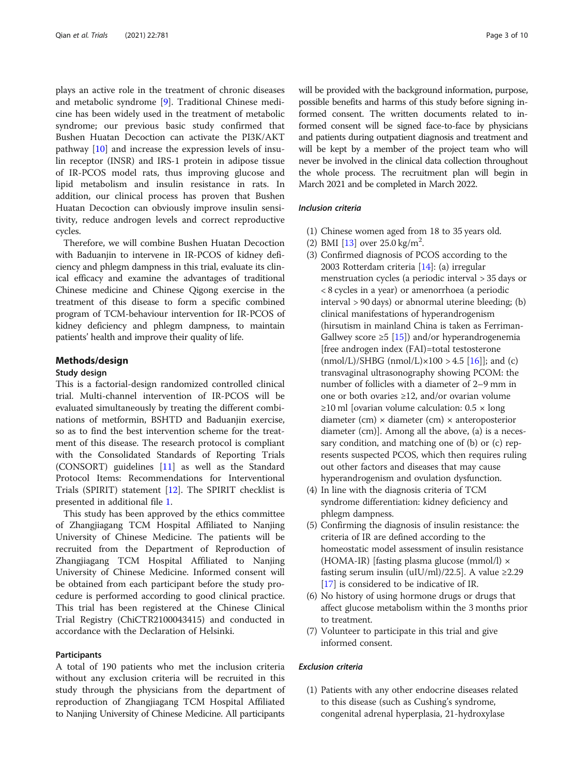plays an active role in the treatment of chronic diseases and metabolic syndrome [[9](#page-8-0)]. Traditional Chinese medicine has been widely used in the treatment of metabolic syndrome; our previous basic study confirmed that Bushen Huatan Decoction can activate the PI3K/AKT pathway [\[10](#page-8-0)] and increase the expression levels of insulin receptor (INSR) and IRS-1 protein in adipose tissue of IR-PCOS model rats, thus improving glucose and lipid metabolism and insulin resistance in rats. In addition, our clinical process has proven that Bushen Huatan Decoction can obviously improve insulin sensitivity, reduce androgen levels and correct reproductive cycles.

Therefore, we will combine Bushen Huatan Decoction with Baduanjin to intervene in IR-PCOS of kidney deficiency and phlegm dampness in this trial, evaluate its clinical efficacy and examine the advantages of traditional Chinese medicine and Chinese Qigong exercise in the treatment of this disease to form a specific combined program of TCM-behaviour intervention for IR-PCOS of kidney deficiency and phlegm dampness, to maintain patients' health and improve their quality of life.

#### Methods/design

#### Study design

This is a factorial-design randomized controlled clinical trial. Multi-channel intervention of IR-PCOS will be evaluated simultaneously by treating the different combinations of metformin, BSHTD and Baduanjin exercise, so as to find the best intervention scheme for the treatment of this disease. The research protocol is compliant with the Consolidated Standards of Reporting Trials (CONSORT) guidelines [[11\]](#page-8-0) as well as the Standard Protocol Items: Recommendations for Interventional Trials (SPIRIT) statement [[12](#page-8-0)]. The SPIRIT checklist is presented in additional file [1.](#page-7-0)

This study has been approved by the ethics committee of Zhangjiagang TCM Hospital Affiliated to Nanjing University of Chinese Medicine. The patients will be recruited from the Department of Reproduction of Zhangjiagang TCM Hospital Affiliated to Nanjing University of Chinese Medicine. Informed consent will be obtained from each participant before the study procedure is performed according to good clinical practice. This trial has been registered at the Chinese Clinical Trial Registry (ChiCTR2100043415) and conducted in accordance with the Declaration of Helsinki.

# Participants

A total of 190 patients who met the inclusion criteria without any exclusion criteria will be recruited in this study through the physicians from the department of reproduction of Zhangjiagang TCM Hospital Affiliated to Nanjing University of Chinese Medicine. All participants will be provided with the background information, purpose, possible benefits and harms of this study before signing informed consent. The written documents related to informed consent will be signed face-to-face by physicians and patients during outpatient diagnosis and treatment and will be kept by a member of the project team who will never be involved in the clinical data collection throughout the whole process. The recruitment plan will begin in March 2021 and be completed in March 2022.

# Inclusion criteria

- (1) Chinese women aged from 18 to 35 years old.
- (2) BMI  $[13]$  $[13]$  over 25.0 kg/m<sup>2</sup>.
- (3) Confirmed diagnosis of PCOS according to the 2003 Rotterdam criteria [[14](#page-8-0)]: (a) irregular menstruation cycles (a periodic interval > 35 days or < 8 cycles in a year) or amenorrhoea (a periodic interval > 90 days) or abnormal uterine bleeding; (b) clinical manifestations of hyperandrogenism (hirsutism in mainland China is taken as Ferriman-Gallwey score ≥5 [[15](#page-8-0)]) and/or hyperandrogenemia [free androgen index (FAI)=total testosterone  $(mmol/L)/SHBG$   $(mmol/L) \times 100 > 4.5$  [\[16](#page-8-0)]]; and  $(c)$ transvaginal ultrasonography showing PCOM: the number of follicles with a diameter of 2–9 mm in one or both ovaries ≥12, and/or ovarian volume ≥10 ml [ovarian volume calculation:  $0.5 \times$  long diameter (cm)  $\times$  diameter (cm)  $\times$  anteroposterior diameter (cm)]. Among all the above, (a) is a necessary condition, and matching one of (b) or (c) represents suspected PCOS, which then requires ruling out other factors and diseases that may cause hyperandrogenism and ovulation dysfunction.
- (4) In line with the diagnosis criteria of TCM syndrome differentiation: kidney deficiency and phlegm dampness.
- (5) Confirming the diagnosis of insulin resistance: the criteria of IR are defined according to the homeostatic model assessment of insulin resistance (HOMA-IR) [fasting plasma glucose (mmol/l)  $\times$ fasting serum insulin (uIU/ml)/22.5]. A value  $\geq$ 2.29 [[17](#page-8-0)] is considered to be indicative of IR.
- (6) No history of using hormone drugs or drugs that affect glucose metabolism within the 3 months prior to treatment.
- (7) Volunteer to participate in this trial and give informed consent.

# Exclusion criteria

(1) Patients with any other endocrine diseases related to this disease (such as Cushing's syndrome, congenital adrenal hyperplasia, 21-hydroxylase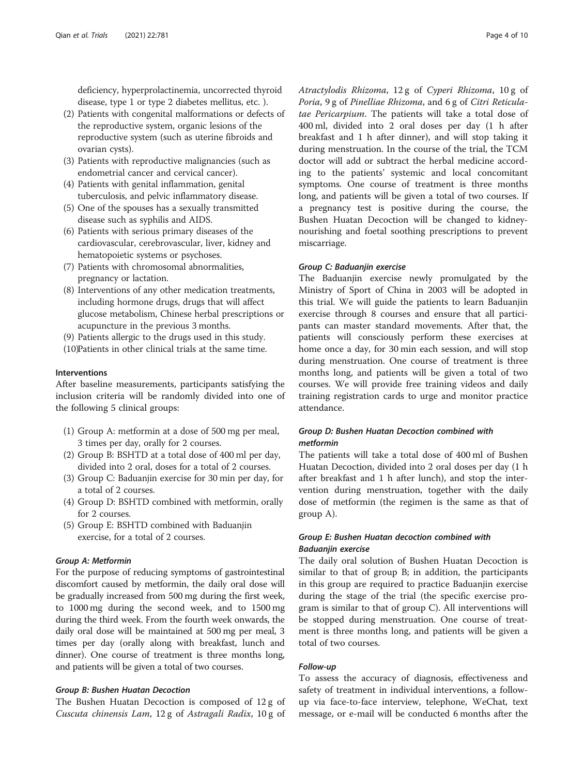deficiency, hyperprolactinemia, uncorrected thyroid disease, type 1 or type 2 diabetes mellitus, etc. ).

- (2) Patients with congenital malformations or defects of the reproductive system, organic lesions of the reproductive system (such as uterine fibroids and ovarian cysts).
- (3) Patients with reproductive malignancies (such as endometrial cancer and cervical cancer).
- (4) Patients with genital inflammation, genital tuberculosis, and pelvic inflammatory disease.
- (5) One of the spouses has a sexually transmitted disease such as syphilis and AIDS.
- (6) Patients with serious primary diseases of the cardiovascular, cerebrovascular, liver, kidney and hematopoietic systems or psychoses.
- (7) Patients with chromosomal abnormalities, pregnancy or lactation.
- (8) Interventions of any other medication treatments, including hormone drugs, drugs that will affect glucose metabolism, Chinese herbal prescriptions or acupuncture in the previous 3 months.

(9) Patients allergic to the drugs used in this study.

(10)Patients in other clinical trials at the same time.

#### Interventions

After baseline measurements, participants satisfying the inclusion criteria will be randomly divided into one of the following 5 clinical groups:

- (1) Group A: metformin at a dose of 500 mg per meal, 3 times per day, orally for 2 courses.
- (2) Group B: BSHTD at a total dose of 400 ml per day, divided into 2 oral, doses for a total of 2 courses.
- (3) Group C: Baduanjin exercise for 30 min per day, for a total of 2 courses.
- (4) Group D: BSHTD combined with metformin, orally for 2 courses.
- (5) Group E: BSHTD combined with Baduanjin exercise, for a total of 2 courses.

# Group A: Metformin

For the purpose of reducing symptoms of gastrointestinal discomfort caused by metformin, the daily oral dose will be gradually increased from 500 mg during the first week, to 1000 mg during the second week, and to 1500 mg during the third week. From the fourth week onwards, the daily oral dose will be maintained at 500 mg per meal, 3 times per day (orally along with breakfast, lunch and dinner). One course of treatment is three months long, and patients will be given a total of two courses.

# Group B: Bushen Huatan Decoction

The Bushen Huatan Decoction is composed of 12 g of Cuscuta chinensis Lam, 12 g of Astragali Radix, 10 g of Atractylodis Rhizoma, 12 g of Cyperi Rhizoma, 10 g of Poria, 9 g of Pinelliae Rhizoma, and 6 g of Citri Reticulatae Pericarpium. The patients will take a total dose of 400 ml, divided into 2 oral doses per day (1 h after breakfast and 1 h after dinner), and will stop taking it during menstruation. In the course of the trial, the TCM doctor will add or subtract the herbal medicine according to the patients' systemic and local concomitant symptoms. One course of treatment is three months long, and patients will be given a total of two courses. If a pregnancy test is positive during the course, the Bushen Huatan Decoction will be changed to kidneynourishing and foetal soothing prescriptions to prevent miscarriage.

# Group C: Baduanjin exercise

The Baduanjin exercise newly promulgated by the Ministry of Sport of China in 2003 will be adopted in this trial. We will guide the patients to learn Baduanjin exercise through 8 courses and ensure that all participants can master standard movements. After that, the patients will consciously perform these exercises at home once a day, for 30 min each session, and will stop during menstruation. One course of treatment is three months long, and patients will be given a total of two courses. We will provide free training videos and daily training registration cards to urge and monitor practice attendance.

# Group D: Bushen Huatan Decoction combined with metformin

The patients will take a total dose of 400 ml of Bushen Huatan Decoction, divided into 2 oral doses per day (1 h after breakfast and 1 h after lunch), and stop the intervention during menstruation, together with the daily dose of metformin (the regimen is the same as that of group A).

# Group E: Bushen Huatan decoction combined with Baduanjin exercise

The daily oral solution of Bushen Huatan Decoction is similar to that of group B; in addition, the participants in this group are required to practice Baduanjin exercise during the stage of the trial (the specific exercise program is similar to that of group C). All interventions will be stopped during menstruation. One course of treatment is three months long, and patients will be given a total of two courses.

# Follow-up

To assess the accuracy of diagnosis, effectiveness and safety of treatment in individual interventions, a followup via face-to-face interview, telephone, WeChat, text message, or e-mail will be conducted 6 months after the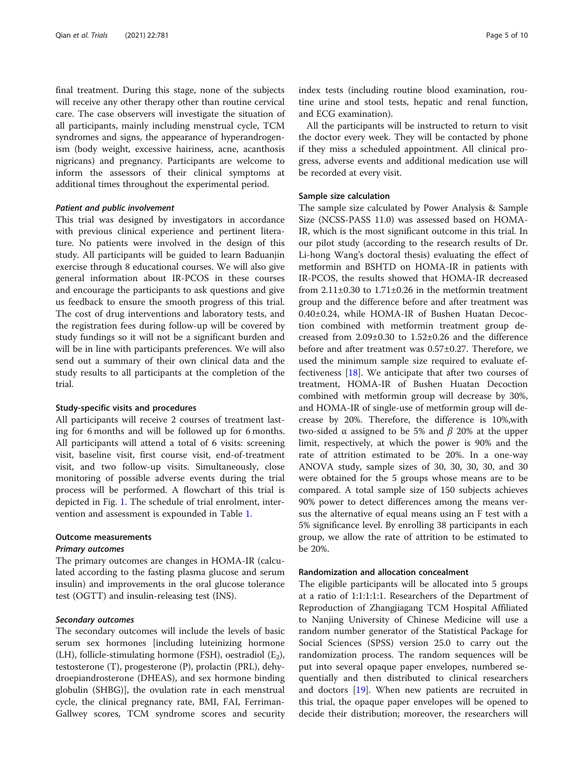final treatment. During this stage, none of the subjects will receive any other therapy other than routine cervical care. The case observers will investigate the situation of all participants, mainly including menstrual cycle, TCM syndromes and signs, the appearance of hyperandrogenism (body weight, excessive hairiness, acne, acanthosis nigricans) and pregnancy. Participants are welcome to inform the assessors of their clinical symptoms at additional times throughout the experimental period.

#### Patient and public involvement

This trial was designed by investigators in accordance with previous clinical experience and pertinent literature. No patients were involved in the design of this study. All participants will be guided to learn Baduanjin exercise through 8 educational courses. We will also give general information about IR-PCOS in these courses and encourage the participants to ask questions and give us feedback to ensure the smooth progress of this trial. The cost of drug interventions and laboratory tests, and the registration fees during follow-up will be covered by study fundings so it will not be a significant burden and will be in line with participants preferences. We will also send out a summary of their own clinical data and the study results to all participants at the completion of the trial.

#### Study-specific visits and procedures

All participants will receive 2 courses of treatment lasting for 6 months and will be followed up for 6 months. All participants will attend a total of 6 visits: screening visit, baseline visit, first course visit, end-of-treatment visit, and two follow-up visits. Simultaneously, close monitoring of possible adverse events during the trial process will be performed. A flowchart of this trial is depicted in Fig. [1.](#page-5-0) The schedule of trial enrolment, intervention and assessment is expounded in Table [1](#page-6-0).

#### Outcome measurements

#### Primary outcomes

The primary outcomes are changes in HOMA-IR (calculated according to the fasting plasma glucose and serum insulin) and improvements in the oral glucose tolerance test (OGTT) and insulin-releasing test (INS).

### Secondary outcomes

The secondary outcomes will include the levels of basic serum sex hormones [including luteinizing hormone (LH), follicle-stimulating hormone (FSH), oestradiol  $(E_2)$ , testosterone (T), progesterone (P), prolactin (PRL), dehydroepiandrosterone (DHEAS), and sex hormone binding globulin (SHBG)], the ovulation rate in each menstrual cycle, the clinical pregnancy rate, BMI, FAI, Ferriman-Gallwey scores, TCM syndrome scores and security index tests (including routine blood examination, routine urine and stool tests, hepatic and renal function, and ECG examination).

All the participants will be instructed to return to visit the doctor every week. They will be contacted by phone if they miss a scheduled appointment. All clinical progress, adverse events and additional medication use will be recorded at every visit.

# Sample size calculation

The sample size calculated by Power Analysis & Sample Size (NCSS-PASS 11.0) was assessed based on HOMA-IR, which is the most significant outcome in this trial. In our pilot study (according to the research results of Dr. Li-hong Wang's doctoral thesis) evaluating the effect of metformin and BSHTD on HOMA-IR in patients with IR-PCOS, the results showed that HOMA-IR decreased from 2.11±0.30 to 1.71±0.26 in the metformin treatment group and the difference before and after treatment was 0.40±0.24, while HOMA-IR of Bushen Huatan Decoction combined with metformin treatment group decreased from 2.09±0.30 to 1.52±0.26 and the difference before and after treatment was 0.57±0.27. Therefore, we used the minimum sample size required to evaluate effectiveness [\[18](#page-9-0)]. We anticipate that after two courses of treatment, HOMA-IR of Bushen Huatan Decoction combined with metformin group will decrease by 30%, and HOMA-IR of single-use of metformin group will decrease by 20%. Therefore, the difference is 10%,with two-sided α assigned to be 5% and  $\beta$  20% at the upper limit, respectively, at which the power is 90% and the rate of attrition estimated to be 20%. In a one-way ANOVA study, sample sizes of 30, 30, 30, 30, and 30 were obtained for the 5 groups whose means are to be compared. A total sample size of 150 subjects achieves 90% power to detect differences among the means versus the alternative of equal means using an F test with a 5% significance level. By enrolling 38 participants in each group, we allow the rate of attrition to be estimated to be 20%.

# Randomization and allocation concealment

The eligible participants will be allocated into 5 groups at a ratio of 1:1:1:1:1. Researchers of the Department of Reproduction of Zhangjiagang TCM Hospital Affiliated to Nanjing University of Chinese Medicine will use a random number generator of the Statistical Package for Social Sciences (SPSS) version 25.0 to carry out the randomization process. The random sequences will be put into several opaque paper envelopes, numbered sequentially and then distributed to clinical researchers and doctors [\[19\]](#page-9-0). When new patients are recruited in this trial, the opaque paper envelopes will be opened to decide their distribution; moreover, the researchers will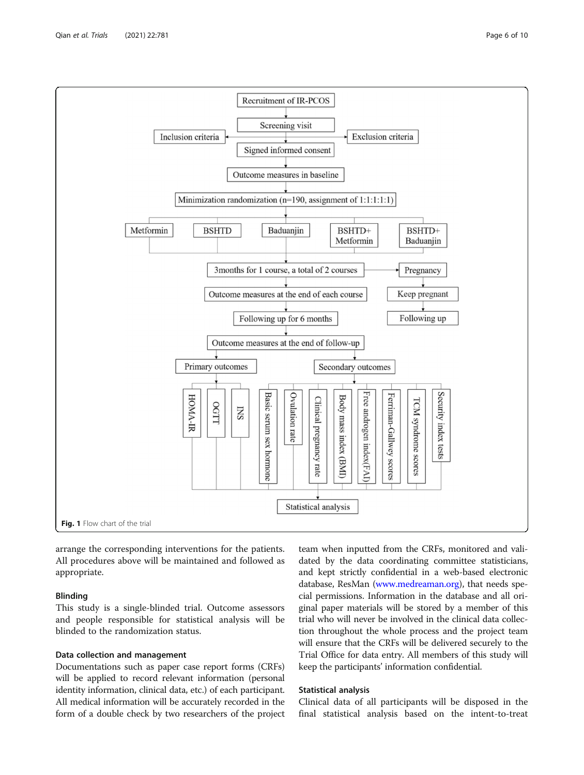<span id="page-5-0"></span>

arrange the corresponding interventions for the patients. All procedures above will be maintained and followed as appropriate.

# Blinding

This study is a single-blinded trial. Outcome assessors and people responsible for statistical analysis will be blinded to the randomization status.

# Data collection and management

Documentations such as paper case report forms (CRFs) will be applied to record relevant information (personal identity information, clinical data, etc.) of each participant. All medical information will be accurately recorded in the form of a double check by two researchers of the project

team when inputted from the CRFs, monitored and validated by the data coordinating committee statisticians, and kept strictly confidential in a web-based electronic database, ResMan [\(www.medreaman.org](http://www.medreaman.org)), that needs special permissions. Information in the database and all original paper materials will be stored by a member of this trial who will never be involved in the clinical data collection throughout the whole process and the project team will ensure that the CRFs will be delivered securely to the Trial Office for data entry. All members of this study will keep the participants' information confidential.

# Statistical analysis

Clinical data of all participants will be disposed in the final statistical analysis based on the intent-to-treat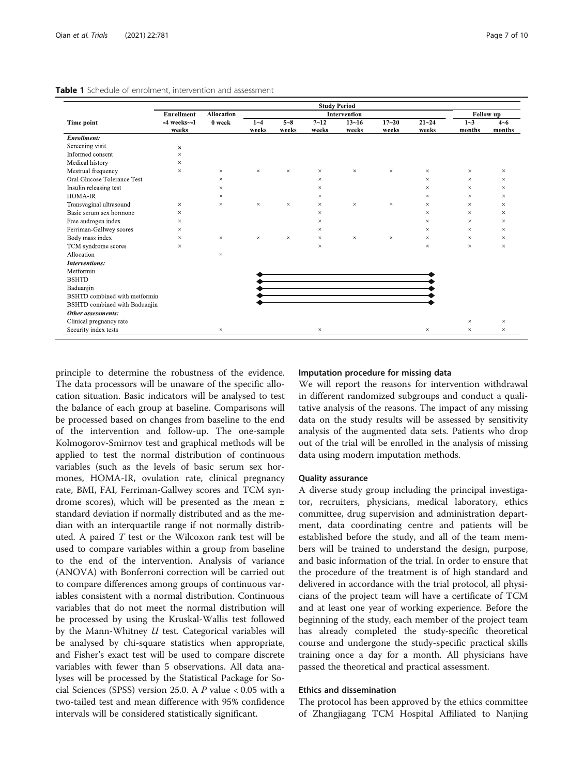<span id="page-6-0"></span>

| Table 1 Schedule of enrolment, intervention and assessment |
|------------------------------------------------------------|
|                                                            |

| Time point                    | <b>Study Period</b> |                   |              |          |          |           |           |           |           |          |
|-------------------------------|---------------------|-------------------|--------------|----------|----------|-----------|-----------|-----------|-----------|----------|
|                               | <b>Enrollment</b>   | <b>Allocation</b> | Intervention |          |          |           |           |           | Follow-up |          |
|                               | $-4$ weeks $-1$     | 0 week            | $1 - 4$      | $5 - 8$  | $7 - 12$ | $13 - 16$ | $17 - 20$ | $21 - 24$ | $1 - 3$   | $4 - 6$  |
|                               | weeks               |                   | weeks        | weeks    | weeks    | weeks     | weeks     | weeks     | months    | months   |
| Enrollment:                   |                     |                   |              |          |          |           |           |           |           |          |
| Screening visit               | $\times$            |                   |              |          |          |           |           |           |           |          |
| Informed consent              | $\times$            |                   |              |          |          |           |           |           |           |          |
| Medical history               | $\times$            |                   |              |          |          |           |           |           |           |          |
| Mestrual frequency            | $\times$            | $\times$          | $\times$     | $\times$ | $\times$ | $\times$  | $\times$  | $\times$  | $\times$  | $\times$ |
| Oral Glucose Tolerance Test   |                     | $\times$          |              |          | $\times$ |           |           | $\times$  | $\times$  | $\times$ |
| Insulin releasing test        |                     | $\times$          |              |          | $\times$ |           |           | $\times$  | $\times$  | $\times$ |
| HOMA-IR                       |                     | $\times$          |              |          | $\times$ |           |           | $\times$  | $\times$  | $\times$ |
| Transvaginal ultrasound       | $\times$            | $\times$          | $\times$     | $\times$ | $\times$ | $\times$  | $\times$  | $\times$  | $\times$  | $\times$ |
| Basic serum sex hormone       | $\times$            |                   |              |          | $\times$ |           |           | $\times$  | $\times$  | $\times$ |
| Free androgen index           | $\times$            |                   |              |          | $\times$ |           |           | $\times$  | $\times$  | $\times$ |
| Ferriman-Gallwey scores       | $\times$            |                   |              |          | $\times$ |           |           | $\times$  | $\times$  | $\times$ |
| Body mass index               | $\times$            | $\times$          | $\times$     | $\times$ | $\times$ | $\times$  | $\times$  | $\times$  | $\times$  | $\times$ |
| TCM syndrome scores           | $\times$            |                   |              |          | $\times$ |           |           | $\times$  | $\times$  | $\times$ |
| Allocation                    |                     | $\times$          |              |          |          |           |           |           |           |          |
| Interventions:                |                     |                   |              |          |          |           |           |           |           |          |
| Metformin                     |                     |                   |              |          |          |           |           |           |           |          |
| <b>BSHTD</b>                  |                     |                   |              |          |          |           |           |           |           |          |
| Baduanjin                     |                     |                   |              |          |          |           |           |           |           |          |
| BSHTD combined with metformin |                     |                   |              |          |          |           |           |           |           |          |
| BSHTD combined with Baduanjin |                     |                   |              |          |          |           |           |           |           |          |
| Other assessments:            |                     |                   |              |          |          |           |           |           |           |          |
| Clinical pregnancy rate       |                     |                   |              |          |          |           |           |           | $\times$  | $\times$ |
| Security index tests          |                     | $\times$          |              |          | $\times$ |           |           | $\times$  | $\times$  | $\times$ |

principle to determine the robustness of the evidence. The data processors will be unaware of the specific allocation situation. Basic indicators will be analysed to test the balance of each group at baseline. Comparisons will be processed based on changes from baseline to the end of the intervention and follow-up. The one-sample Kolmogorov-Smirnov test and graphical methods will be applied to test the normal distribution of continuous variables (such as the levels of basic serum sex hormones, HOMA-IR, ovulation rate, clinical pregnancy rate, BMI, FAI, Ferriman-Gallwey scores and TCM syndrome scores), which will be presented as the mean ± standard deviation if normally distributed and as the median with an interquartile range if not normally distributed. A paired  $T$  test or the Wilcoxon rank test will be used to compare variables within a group from baseline to the end of the intervention. Analysis of variance (ANOVA) with Bonferroni correction will be carried out to compare differences among groups of continuous variables consistent with a normal distribution. Continuous variables that do not meet the normal distribution will be processed by using the Kruskal-Wallis test followed by the Mann-Whitney  $U$  test. Categorical variables will be analysed by chi-square statistics when appropriate, and Fisher's exact test will be used to compare discrete variables with fewer than 5 observations. All data analyses will be processed by the Statistical Package for Social Sciences (SPSS) version 25.0. A P value < 0.05 with a two-tailed test and mean difference with 95% confidence intervals will be considered statistically significant.

# Imputation procedure for missing data

We will report the reasons for intervention withdrawal in different randomized subgroups and conduct a qualitative analysis of the reasons. The impact of any missing data on the study results will be assessed by sensitivity analysis of the augmented data sets. Patients who drop out of the trial will be enrolled in the analysis of missing data using modern imputation methods.

#### Quality assurance

A diverse study group including the principal investigator, recruiters, physicians, medical laboratory, ethics committee, drug supervision and administration department, data coordinating centre and patients will be established before the study, and all of the team members will be trained to understand the design, purpose, and basic information of the trial. In order to ensure that the procedure of the treatment is of high standard and delivered in accordance with the trial protocol, all physicians of the project team will have a certificate of TCM and at least one year of working experience. Before the beginning of the study, each member of the project team has already completed the study-specific theoretical course and undergone the study-specific practical skills training once a day for a month. All physicians have passed the theoretical and practical assessment.

# Ethics and dissemination

The protocol has been approved by the ethics committee of Zhangjiagang TCM Hospital Affiliated to Nanjing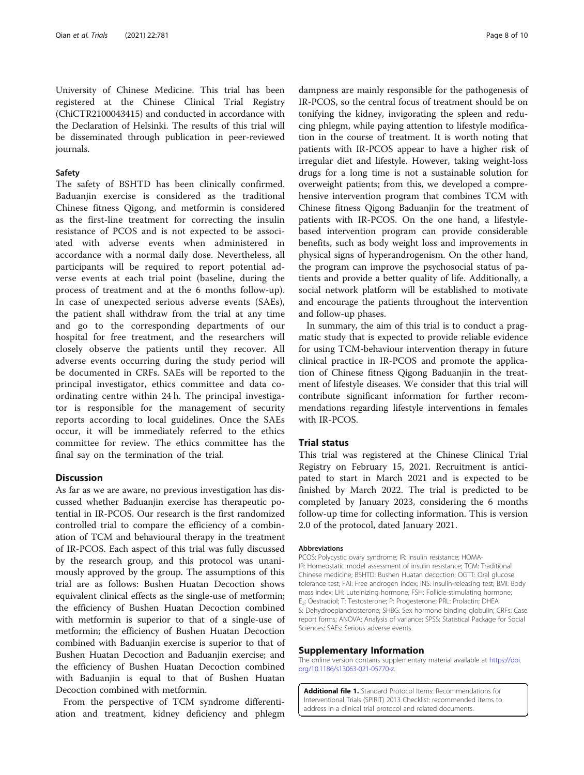<span id="page-7-0"></span>University of Chinese Medicine. This trial has been registered at the Chinese Clinical Trial Registry (ChiCTR2100043415) and conducted in accordance with the Declaration of Helsinki. The results of this trial will be disseminated through publication in peer-reviewed journals.

#### Safety

The safety of BSHTD has been clinically confirmed. Baduanjin exercise is considered as the traditional Chinese fitness Qigong, and metformin is considered as the first-line treatment for correcting the insulin resistance of PCOS and is not expected to be associated with adverse events when administered in accordance with a normal daily dose. Nevertheless, all participants will be required to report potential adverse events at each trial point (baseline, during the process of treatment and at the 6 months follow-up). In case of unexpected serious adverse events (SAEs), the patient shall withdraw from the trial at any time and go to the corresponding departments of our hospital for free treatment, and the researchers will closely observe the patients until they recover. All adverse events occurring during the study period will be documented in CRFs. SAEs will be reported to the principal investigator, ethics committee and data coordinating centre within 24 h. The principal investigator is responsible for the management of security reports according to local guidelines. Once the SAEs occur, it will be immediately referred to the ethics committee for review. The ethics committee has the final say on the termination of the trial.

# **Discussion**

As far as we are aware, no previous investigation has discussed whether Baduanjin exercise has therapeutic potential in IR-PCOS. Our research is the first randomized controlled trial to compare the efficiency of a combination of TCM and behavioural therapy in the treatment of IR-PCOS. Each aspect of this trial was fully discussed by the research group, and this protocol was unanimously approved by the group. The assumptions of this trial are as follows: Bushen Huatan Decoction shows equivalent clinical effects as the single-use of metformin; the efficiency of Bushen Huatan Decoction combined with metformin is superior to that of a single-use of metformin; the efficiency of Bushen Huatan Decoction combined with Baduanjin exercise is superior to that of Bushen Huatan Decoction and Baduanjin exercise; and the efficiency of Bushen Huatan Decoction combined with Baduanjin is equal to that of Bushen Huatan Decoction combined with metformin.

From the perspective of TCM syndrome differentiation and treatment, kidney deficiency and phlegm

dampness are mainly responsible for the pathogenesis of IR-PCOS, so the central focus of treatment should be on tonifying the kidney, invigorating the spleen and reducing phlegm, while paying attention to lifestyle modification in the course of treatment. It is worth noting that patients with IR-PCOS appear to have a higher risk of irregular diet and lifestyle. However, taking weight-loss drugs for a long time is not a sustainable solution for overweight patients; from this, we developed a comprehensive intervention program that combines TCM with Chinese fitness Qigong Baduanjin for the treatment of patients with IR-PCOS. On the one hand, a lifestylebased intervention program can provide considerable benefits, such as body weight loss and improvements in physical signs of hyperandrogenism. On the other hand, the program can improve the psychosocial status of patients and provide a better quality of life. Additionally, a social network platform will be established to motivate and encourage the patients throughout the intervention and follow-up phases.

In summary, the aim of this trial is to conduct a pragmatic study that is expected to provide reliable evidence for using TCM-behaviour intervention therapy in future clinical practice in IR-PCOS and promote the application of Chinese fitness Qigong Baduanjin in the treatment of lifestyle diseases. We consider that this trial will contribute significant information for further recommendations regarding lifestyle interventions in females with IR-PCOS.

# Trial status

This trial was registered at the Chinese Clinical Trial Registry on February 15, 2021. Recruitment is anticipated to start in March 2021 and is expected to be finished by March 2022. The trial is predicted to be completed by January 2023, considering the 6 months follow-up time for collecting information. This is version 2.0 of the protocol, dated January 2021.

#### **Abbreviations**

PCOS: Polycystic ovary syndrome; IR: Insulin resistance; HOMA-IR: Homeostatic model assessment of insulin resistance; TCM: Traditional Chinese medicine; BSHTD: Bushen Huatan decoction; OGTT: Oral glucose tolerance test; FAI: Free androgen index; INS: Insulin-releasing test; BMI: Body mass index; LH: Luteinizing hormone; FSH: Follicle-stimulating hormone; E2: Oestradiol; T: Testosterone; P: Progesterone; PRL: Prolactin; DHEA S: Dehydroepiandrosterone; SHBG: Sex hormone binding globulin; CRFs: Case report forms; ANOVA: Analysis of variance; SPSS: Statistical Package for Social Sciences; SAEs: Serious adverse events.

#### Supplementary Information

The online version contains supplementary material available at [https://doi.](https://doi.org/10.1186/s13063-021-05770-z) [org/10.1186/s13063-021-05770-z](https://doi.org/10.1186/s13063-021-05770-z).

Additional file 1. Standard Protocol Items: Recommendations for Interventional Trials (SPIRIT) 2013 Checklist: recommended items to address in a clinical trial protocol and related documents.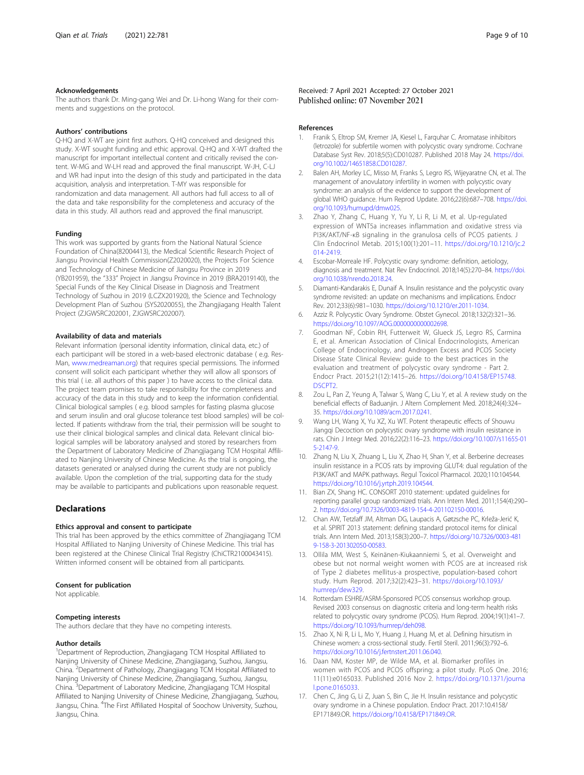#### <span id="page-8-0"></span>Acknowledgements

The authors thank Dr. Ming-gang Wei and Dr. Li-hong Wang for their comments and suggestions on the protocol.

#### Authors' contributions

Q-HQ and X-WT are joint first authors. Q-HQ conceived and designed this study. X-WT sought funding and ethic approval. Q-HQ and X-WT drafted the manuscript for important intellectual content and critically revised the content. W-MG and W-LH read and approved the final manuscript. W-JH, C-LJ and WR had input into the design of this study and participated in the data acquisition, analysis and interpretation. T-MY was responsible for randomization and data management. All authors had full access to all of the data and take responsibility for the completeness and accuracy of the data in this study. All authors read and approved the final manuscript.

#### Funding

This work was supported by grants from the National Natural Science Foundation of China(82004413), the Medical Scientific Research Project of Jiangsu Provincial Health Commission(Z2020020), the Projects For Science and Technology of Chinese Medicine of Jiangsu Province in 2019 (YB201959), the "333" Project in Jiangsu Province in 2019 (BRA2019140), the Special Funds of the Key Clinical Disease in Diagnosis and Treatment Technology of Suzhou in 2019 (LCZX201920), the Science and Technology Development Plan of Suzhou (SYS2020055), the Zhangjiagang Health Talent Project (ZJGWSRC202001, ZJGWSRC202007).

#### Availability of data and materials

Relevant information (personal identity information, clinical data, etc.) of each participant will be stored in a web-based electronic database ( e.g. Res-Man, [www.medreaman.org\)](http://www.medreaman.org) that requires special permissions. The informed consent will solicit each participant whether they will allow all sponsors of this trial ( i.e. all authors of this paper ) to have access to the clinical data. The project team promises to take responsibility for the completeness and accuracy of the data in this study and to keep the information confidential. Clinical biological samples ( e.g. blood samples for fasting plasma glucose and serum insulin and oral glucose tolerance test blood samples) will be collected. If patients withdraw from the trial, their permission will be sought to use their clinical biological samples and clinical data. Relevant clinical biological samples will be laboratory analysed and stored by researchers from the Department of Laboratory Medicine of Zhangjiagang TCM Hospital Affiliated to Nanjing University of Chinese Medicine. As the trial is ongoing, the datasets generated or analysed during the current study are not publicly available. Upon the completion of the trial, supporting data for the study may be available to participants and publications upon reasonable request.

#### **Declarations**

#### Ethics approval and consent to participate

This trial has been approved by the ethics committee of Zhangjiagang TCM Hospital Affiliated to Nanjing University of Chinese Medicine. This trial has been registered at the Chinese Clinical Trial Registry (ChiCTR2100043415). Written informed consent will be obtained from all participants.

#### Consent for publication

Not applicable.

#### Competing interests

The authors declare that they have no competing interests.

#### Author details

<sup>1</sup>Department of Reproduction, Zhangjiagang TCM Hospital Affiliated to Nanjing University of Chinese Medicine, Zhangjiagang, Suzhou, Jiangsu, China. <sup>2</sup> Department of Pathology, Zhangjiagang TCM Hospital Affiliated to Nanjing University of Chinese Medicine, Zhangjiagang, Suzhou, Jiangsu, China.<sup>3</sup> Department of Laboratory Medicine, Zhangjiagang TCM Hospital Affiliated to Nanjing University of Chinese Medicine, Zhangjiagang, Suzhou, Jiangsu, China. <sup>4</sup>The First Affiliated Hospital of Soochow University, Suzhou, Jiangsu, China.

#### Received: 7 April 2021 Accepted: 27 October 2021 Published online: 07 November 2021

#### References

- 1. Franik S, Eltrop SM, Kremer JA, Kiesel L, Farquhar C. Aromatase inhibitors (letrozole) for subfertile women with polycystic ovary syndrome. Cochrane Database Syst Rev. 2018;5(5):CD010287. Published 2018 May 24. [https://doi.](https://doi.org/10.1002/14651858.CD010287) [org/10.1002/14651858.CD010287.](https://doi.org/10.1002/14651858.CD010287)
- Balen AH, Morley LC, Misso M, Franks S, Legro RS, Wijeyaratne CN, et al. The management of anovulatory infertility in women with polycystic ovary syndrome: an analysis of the evidence to support the development of global WHO guidance. Hum Reprod Update. 2016;22(6):687–708. [https://doi.](https://doi.org/10.1093/humupd/dmw025) [org/10.1093/humupd/dmw025](https://doi.org/10.1093/humupd/dmw025).
- 3. Zhao Y, Zhang C, Huang Y, Yu Y, Li R, Li M, et al. Up-regulated expression of WNT5a increases inflammation and oxidative stress via PI3K/AKT/NF-κB signaling in the granulosa cells of PCOS patients. J Clin Endocrinol Metab. 2015;100(1):201–11. [https://doi.org/10.1210/jc.2](https://doi.org/10.1210/jc.2014-2419) [014-2419](https://doi.org/10.1210/jc.2014-2419).
- 4. Escobar-Morreale HF. Polycystic ovary syndrome: definition, aetiology, diagnosis and treatment. Nat Rev Endocrinol. 2018;14(5):270–84. [https://doi.](https://doi.org/10.1038/nrendo.2018.24) [org/10.1038/nrendo.2018.24.](https://doi.org/10.1038/nrendo.2018.24)
- 5. Diamanti-Kandarakis E, Dunaif A. Insulin resistance and the polycystic ovary syndrome revisited: an update on mechanisms and implications. Endocr Rev. 2012;33(6):981–1030. <https://doi.org/10.1210/er.2011-1034>.
- 6. Azziz R. Polycystic Ovary Syndrome. Obstet Gynecol. 2018;132(2):321–36. [https://doi.org/10.1097/AOG.0000000000002698.](https://doi.org/10.1097/AOG.0000000000002698)
- 7. Goodman NF, Cobin RH, Futterweit W, Glueck JS, Legro RS, Carmina E, et al. American Association of Clinical Endocrinologists, American College of Endocrinology, and Androgen Excess and PCOS Society Disease State Clinical Review: guide to the best practices in the evaluation and treatment of polycystic ovary syndrome - Part 2. Endocr Pract. 2015;21(12):1415–26. [https://doi.org/10.4158/EP15748.](https://doi.org/10.4158/EP15748.DSCPT2) [DSCPT2.](https://doi.org/10.4158/EP15748.DSCPT2)
- 8. Zou L, Pan Z, Yeung A, Talwar S, Wang C, Liu Y, et al. A review study on the beneficial effects of Baduanjin. J Altern Complement Med. 2018;24(4):324– 35. [https://doi.org/10.1089/acm.2017.0241.](https://doi.org/10.1089/acm.2017.0241)
- Wang LH, Wang X, Yu XZ, Xu WT. Potent therapeutic effects of Shouwu Jiangqi Decoction on polycystic ovary syndrome with insulin resistance in rats. Chin J Integr Med. 2016;22(2):116–23. [https://doi.org/10.1007/s11655-01](https://doi.org/10.1007/s11655-015-2147-9) [5-2147-9](https://doi.org/10.1007/s11655-015-2147-9).
- 10. Zhang N, Liu X, Zhuang L, Liu X, Zhao H, Shan Y, et al. Berberine decreases insulin resistance in a PCOS rats by improving GLUT4: dual regulation of the PI3K/AKT and MAPK pathways. Regul Toxicol Pharmacol. 2020;110:104544. <https://doi.org/10.1016/j.yrtph.2019.104544>.
- 11. Bian ZX, Shang HC. CONSORT 2010 statement: updated guidelines for reporting parallel group randomized trials. Ann Intern Med. 2011;154(4):290– 2. [https://doi.org/10.7326/0003-4819-154-4-201102150-00016.](https://doi.org/10.7326/0003-4819-154-4-201102150-00016)
- 12. Chan AW, Tetzlaff JM, Altman DG, Laupacis A, Gøtzsche PC, Krleža-Jerić K, et al. SPIRIT 2013 statement: defining standard protocol items for clinical trials. Ann Intern Med. 2013;158(3):200–7. [https://doi.org/10.7326/0003-481](https://doi.org/10.7326/0003-4819-158-3-201302050-00583) [9-158-3-201302050-00583.](https://doi.org/10.7326/0003-4819-158-3-201302050-00583)
- 13. Ollila MM, West S, Keinänen-Kiukaanniemi S, et al. Overweight and obese but not normal weight women with PCOS are at increased risk of Type 2 diabetes mellitus-a prospective, population-based cohort study. Hum Reprod. 2017;32(2):423–31. [https://doi.org/10.1093/](https://doi.org/10.1093/humrep/dew329) [humrep/dew329.](https://doi.org/10.1093/humrep/dew329)
- 14. Rotterdam ESHRE/ASRM-Sponsored PCOS consensus workshop group. Revised 2003 consensus on diagnostic criteria and long-term health risks related to polycystic ovary syndrome (PCOS). Hum Reprod. 2004;19(1):41–7. <https://doi.org/10.1093/humrep/deh098>.
- 15. Zhao X, Ni R, Li L, Mo Y, Huang J, Huang M, et al. Defining hirsutism in Chinese women: a cross-sectional study. Fertil Steril. 2011;96(3):792–6. [https://doi.org/10.1016/j.fertnstert.2011.06.040.](https://doi.org/10.1016/j.fertnstert.2011.06.040)
- 16. Daan NM, Koster MP, de Wilde MA, et al. Biomarker profiles in women with PCOS and PCOS offspring; a pilot study. PLoS One. 2016; 11(11):e0165033. Published 2016 Nov 2. [https://doi.org/10.1371/journa](https://doi.org/10.1371/journal.pone.0165033) [l.pone.0165033.](https://doi.org/10.1371/journal.pone.0165033)
- 17. Chen C, Jing G, Li Z, Juan S, Bin C, Jie H. Insulin resistance and polycystic ovary syndrome in a Chinese population. Endocr Pract. 2017:10.4158/ EP171849.OR. [https://doi.org/10.4158/EP171849.OR.](https://doi.org/10.4158/EP171849.OR)